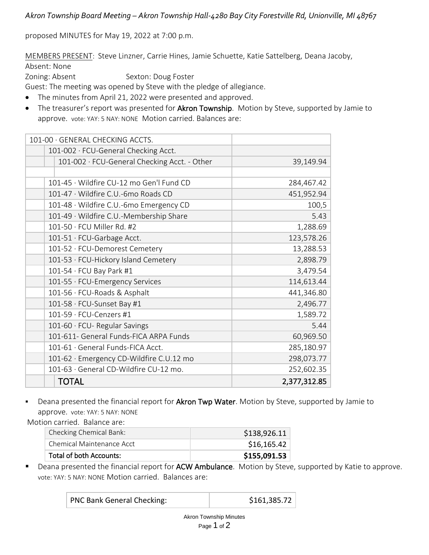*Akron Township Board Meeting – Akron Township Hall-4280 Bay City Forestville Rd, Unionville, MI 48767*

proposed MINUTES for May 19, 2022 at 7:00 p.m.

MEMBERS PRESENT: Steve Linzner, Carrie Hines, Jamie Schuette, Katie Sattelberg, Deana Jacoby, Absent: None

Zoning: Absent Sexton: Doug Foster

Guest: The meeting was opened by Steve with the pledge of allegiance.

- The minutes from April 21, 2022 were presented and approved.
- The treasurer's report was presented for **Akron Township**. Motion by Steve, supported by Jamie to approve. vote: YAY: 5 NAY: NONE Motion carried. Balances are:

| 101-00 · GENERAL CHECKING ACCTS.             |              |
|----------------------------------------------|--------------|
| 101-002 · FCU-General Checking Acct.         |              |
|                                              |              |
| 101-002 · FCU-General Checking Acct. - Other | 39,149.94    |
|                                              |              |
| 101-45 · Wildfire CU-12 mo Gen'l Fund CD     | 284,467.42   |
| 101-47 · Wildfire C.U.-6mo Roads CD          | 451,952.94   |
| 101-48 · Wildfire C.U.-6mo Emergency CD      | 100,5        |
| 101-49 · Wildfire C.U.-Membership Share      | 5.43         |
| $101-50 \cdot FCU$ Miller Rd. #2             | 1,288.69     |
| 101-51 · FCU-Garbage Acct.                   | 123,578.26   |
| 101-52 · FCU-Demorest Cemetery               | 13,288.53    |
| 101-53 · FCU-Hickory Island Cemetery         | 2,898.79     |
| 101-54 · FCU Bay Park #1                     | 3,479.54     |
| 101-55 · FCU-Emergency Services              | 114,613.44   |
| 101-56 · FCU-Roads & Asphalt                 | 441,346.80   |
| 101-58 · FCU-Sunset Bay #1                   | 2,496.77     |
| 101-59 · FCU-Cenzers #1                      | 1,589.72     |
| 101-60 · FCU- Regular Savings                | 5.44         |
| 101-611- General Funds-FICA ARPA Funds       | 60,969.50    |
| 101-61 · General Funds-FICA Acct.            | 285,180.97   |
| 101-62 · Emergency CD-Wildfire C.U.12 mo     | 298,073.77   |
| 101-63 · General CD-Wildfire CU-12 mo.       | 252,602.35   |
| <b>TOTAL</b>                                 | 2,377,312.85 |

Deana presented the financial report for Akron Twp Water. Motion by Steve, supported by Jamie to approve. vote: YAY: 5 NAY: NONE

Motion carried. Balance are:

| Total of both Accounts:   | \$155,091.53 |
|---------------------------|--------------|
| Chemical Maintenance Acct | \$16,165.42  |
| Checking Chemical Bank:   | \$138,926.11 |

■ Deana presented the financial report for ACW Ambulance. Motion by Steve, supported by Katie to approve. vote: YAY: 5 NAY: NONE Motion carried. Balances are:

| PNC Bank General Checking: | \$161,385.72 |
|----------------------------|--------------|
|----------------------------|--------------|